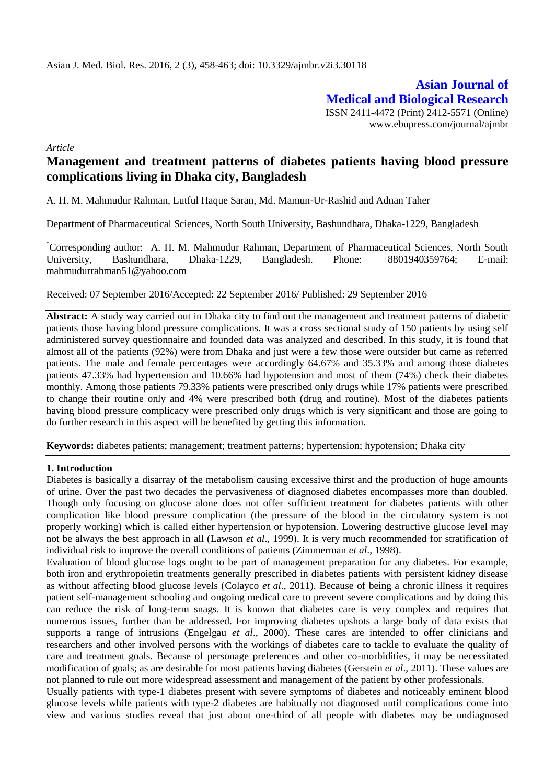**Asian Journal of Medical and Biological Research** ISSN 2411-4472 (Print) 2412-5571 (Online) www.ebupress.com/journal/ajmbr

*Article*

# **Management and treatment patterns of diabetes patients having blood pressure complications living in Dhaka city, Bangladesh**

A. H. M. Mahmudur Rahman, Lutful Haque Saran, Md. Mamun-Ur-Rashid and Adnan Taher

Department of Pharmaceutical Sciences, North South University, Bashundhara, Dhaka-1229, Bangladesh

\*Corresponding author: A. H. M. Mahmudur Rahman, Department of Pharmaceutical Sciences, North South University, Bashundhara, Dhaka-1229, Bangladesh. Phone: +8801940359764; E-mail: [mahmudurrahman51@yahoo.com](mailto:mahmudurrahman51@yahoo.com)

Received: 07 September 2016/Accepted: 22 September 2016/ Published: 29 September 2016

**Abstract:** A study way carried out in Dhaka city to find out the management and treatment patterns of diabetic patients those having blood pressure complications. It was a cross sectional study of 150 patients by using self administered survey questionnaire and founded data was analyzed and described. In this study, it is found that almost all of the patients (92%) were from Dhaka and just were a few those were outsider but came as referred patients. The male and female percentages were accordingly 64.67% and 35.33% and among those diabetes patients 47.33% had hypertension and 10.66% had hypotension and most of them (74%) check their diabetes monthly. Among those patients 79.33% patients were prescribed only drugs while 17% patients were prescribed to change their routine only and 4% were prescribed both (drug and routine). Most of the diabetes patients having blood pressure complicacy were prescribed only drugs which is very significant and those are going to do further research in this aspect will be benefited by getting this information.

**Keywords:** diabetes patients; management; treatment patterns; hypertension; hypotension; Dhaka city

### **1. Introduction**

Diabetes is basically a disarray of the metabolism causing excessive thirst and the production of huge amounts of urine. Over the past two decades the pervasiveness of diagnosed diabetes encompasses more than doubled. Though only focusing on glucose alone does not offer sufficient treatment for diabetes patients with other complication like blood pressure complication (the pressure of the blood in the circulatory system is not properly working) which is called either hypertension or hypotension. Lowering destructive glucose level may not be always the best approach in all (Lawson *et al*., 1999). It is very much recommended for stratification of individual risk to improve the overall conditions of patients (Zimmerman *et al*., 1998).

Evaluation of blood glucose logs ought to be part of management preparation for any diabetes. For example, both iron and erythropoietin treatments generally prescribed in diabetes patients with persistent kidney disease as without affecting blood glucose levels (Colayco *et al*., 2011). Because of being a chronic illness it requires patient self-management schooling and ongoing medical care to prevent severe complications and by doing this can reduce the risk of long-term snags. It is known that diabetes care is very complex and requires that numerous issues, further than be addressed. For improving diabetes upshots a large body of data exists that supports a range of intrusions (Engelgau *et al*., 2000). These cares are intended to offer clinicians and researchers and other involved persons with the workings of diabetes care to tackle to evaluate the quality of care and treatment goals. Because of personage preferences and other co-morbidities, it may be necessitated modification of goals; as are desirable for most patients having diabetes (Gerstein *et al*., 2011). These values are not planned to rule out more widespread assessment and management of the patient by other professionals.

Usually patients with type-1 diabetes present with severe symptoms of diabetes and noticeably eminent blood glucose levels while patients with type-2 diabetes are habitually not diagnosed until complications come into view and various studies reveal that just about one-third of all people with diabetes may be undiagnosed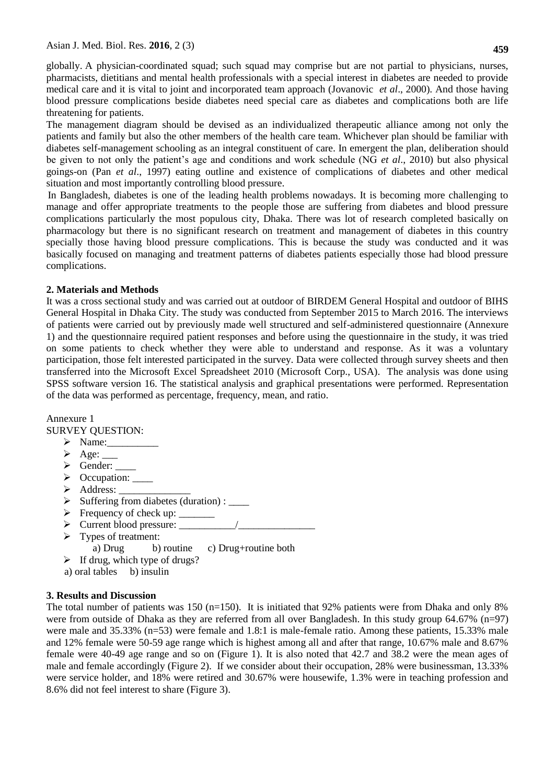globally. A physician-coordinated squad; such squad may comprise but are not partial to physicians, nurses, pharmacists, dietitians and mental health professionals with a special interest in diabetes are needed to provide medical care and it is vital to joint and incorporated team approach (Jovanovic *et al*., 2000). And those having blood pressure complications beside diabetes need special care as diabetes and complications both are life threatening for patients.

The management diagram should be devised as an individualized therapeutic alliance among not only the patients and family but also the other members of the health care team. Whichever plan should be familiar with diabetes self-management schooling as an integral constituent of care. In emergent the plan, deliberation should be given to not only the patient's age and conditions and work schedule (NG *et al*., 2010) but also physical goings-on (Pan *et al*., 1997) eating outline and existence of complications of diabetes and other medical situation and most importantly controlling blood pressure.

In Bangladesh, diabetes is one of the leading health problems nowadays. It is becoming more challenging to manage and offer appropriate treatments to the people those are suffering from diabetes and blood pressure complications particularly the most populous city, Dhaka. There was lot of research completed basically on pharmacology but there is no significant research on treatment and management of diabetes in this country specially those having blood pressure complications. This is because the study was conducted and it was basically focused on managing and treatment patterns of diabetes patients especially those had blood pressure complications.

## **2. Materials and Methods**

It was a cross sectional study and was carried out at outdoor of BIRDEM General Hospital and outdoor of BIHS General Hospital in Dhaka City. The study was conducted from September 2015 to March 2016. The interviews of patients were carried out by previously made well structured and self-administered questionnaire (Annexure 1) and the questionnaire required patient responses and before using the questionnaire in the study, it was tried on some patients to check whether they were able to understand and response. As it was a voluntary participation, those felt interested participated in the survey. Data were collected through survey sheets and then transferred into the Microsoft Excel Spreadsheet 2010 (Microsoft Corp., USA). The analysis was done using SPSS software version 16. The statistical analysis and graphical presentations were performed. Representation of the data was performed as percentage, frequency, mean, and ratio.

Annexure 1 SURVEY QUESTION:

- $\triangleright$  Name:
- $\triangleright$  Age: \_\_\_\_\_
- $\triangleright$  Gender:  $\_$
- > Occupation: \_\_\_\_\_
- > Address: \_
- $\triangleright$  Suffering from diabetes (duration) : \_\_\_\_\_
- $\triangleright$  Frequency of check up:
- $\triangleright$  Current blood pressure:
- $\triangleright$  Types of treatment: a) Drug b) routine c) Drug+routine both
- $\triangleright$  If drug, which type of drugs?
- a) oral tables b) insulin

# **3. Results and Discussion**

The total number of patients was 150 (n=150). It is initiated that 92% patients were from Dhaka and only 8% were from outside of Dhaka as they are referred from all over Bangladesh. In this study group 64.67% (n=97) were male and 35.33% (n=53) were female and 1.8:1 is male-female ratio. Among these patients, 15.33% male and 12% female were 50-59 age range which is highest among all and after that range, 10.67% male and 8.67% female were 40-49 age range and so on (Figure 1). It is also noted that 42.7 and 38.2 were the mean ages of male and female accordingly (Figure 2). If we consider about their occupation, 28% were businessman, 13.33% were service holder, and 18% were retired and 30.67% were housewife, 1.3% were in teaching profession and 8.6% did not feel interest to share (Figure 3).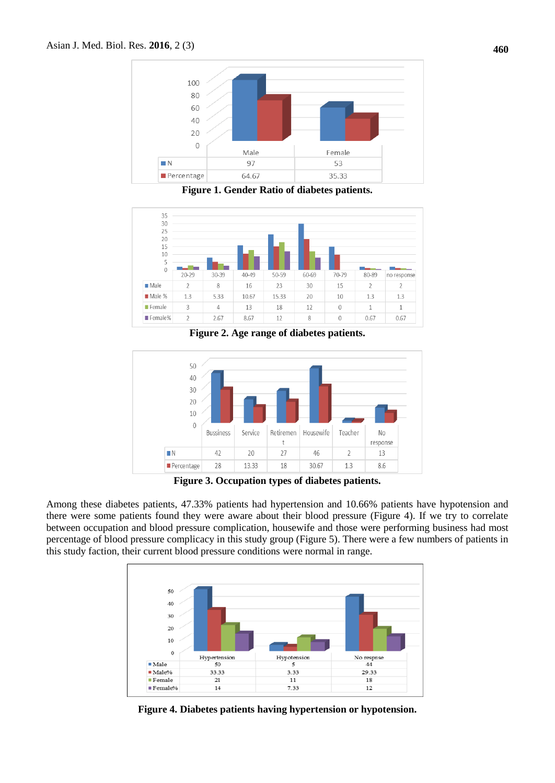

**Figure 1. Gender Ratio of diabetes patients.**



**Figure 2. Age range of diabetes patients.**



**Figure 3. Occupation types of diabetes patients.**

Among these diabetes patients, 47.33% patients had hypertension and 10.66% patients have hypotension and there were some patients found they were aware about their blood pressure (Figure 4). If we try to correlate between occupation and blood pressure complication, housewife and those were performing business had most percentage of blood pressure complicacy in this study group (Figure 5). There were a few numbers of patients in this study faction, their current blood pressure conditions were normal in range.



**Figure 4. Diabetes patients having hypertension or hypotension.**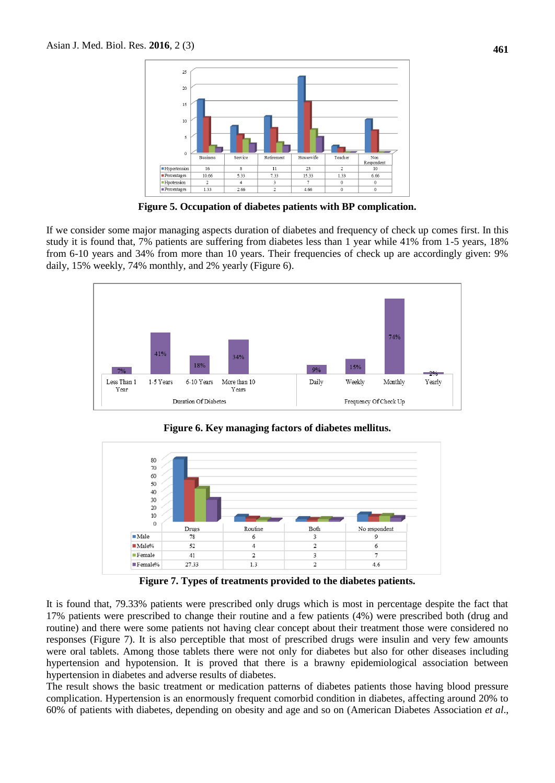

**Figure 5. Occupation of diabetes patients with BP complication.**

If we consider some major managing aspects duration of diabetes and frequency of check up comes first. In this study it is found that, 7% patients are suffering from diabetes less than 1 year while 41% from 1-5 years, 18% from 6-10 years and 34% from more than 10 years. Their frequencies of check up are accordingly given: 9% daily, 15% weekly, 74% monthly, and 2% yearly (Figure 6).



**Figure 6. Key managing factors of diabetes mellitus.**



**Figure 7. Types of treatments provided to the diabetes patients.**

It is found that, 79.33% patients were prescribed only drugs which is most in percentage despite the fact that 17% patients were prescribed to change their routine and a few patients (4%) were prescribed both (drug and routine) and there were some patients not having clear concept about their treatment those were considered no responses (Figure 7). It is also perceptible that most of prescribed drugs were insulin and very few amounts were oral tablets. Among those tablets there were not only for diabetes but also for other diseases including hypertension and hypotension. It is proved that there is a brawny epidemiological association between hypertension in diabetes and adverse results of diabetes.

The result shows the basic treatment or medication patterns of diabetes patients those having blood pressure complication. Hypertension is an enormously frequent comorbid condition in diabetes, affecting around 20% to 60% of patients with diabetes, depending on obesity and age and so on (American Diabetes Association *et al*.,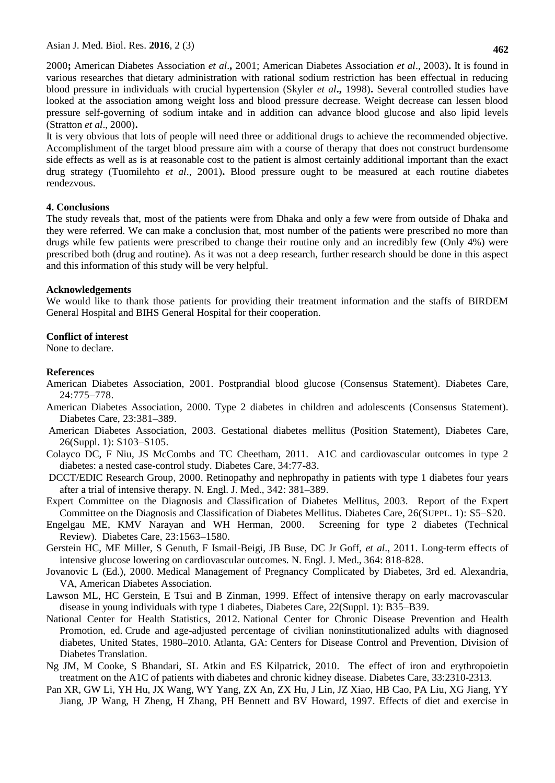Asian J. Med. Biol. Res. **2016**, 2 (3)

2000**;** American Diabetes Association *et al*.**,** 2001; American Diabetes Association *et al*., 2003)**.** It is found in various researches that dietary administration with rational sodium restriction has been effectual in reducing blood pressure in individuals with crucial hypertension (Skyler *et al***.,** 1998)**.** Several controlled studies have looked at the association among weight loss and blood pressure decrease. Weight decrease can lessen blood pressure self-governing of sodium intake and in addition can advance blood glucose and also lipid levels (Stratton *et al*., 2000)**.**

It is very obvious that lots of people will need three or additional drugs to achieve the recommended objective. Accomplishment of the target blood pressure aim with a course of therapy that does not construct burdensome side effects as well as is at reasonable cost to the patient is almost certainly additional important than the exact drug strategy (Tuomilehto *et al*., 2001)**.** Blood pressure ought to be measured at each routine diabetes rendezvous.

### **4. Conclusions**

The study reveals that, most of the patients were from Dhaka and only a few were from outside of Dhaka and they were referred. We can make a conclusion that, most number of the patients were prescribed no more than drugs while few patients were prescribed to change their routine only and an incredibly few (Only 4%) were prescribed both (drug and routine). As it was not a deep research, further research should be done in this aspect and this information of this study will be very helpful.

#### **Acknowledgements**

We would like to thank those patients for providing their treatment information and the staffs of BIRDEM General Hospital and BIHS General Hospital for their cooperation.

### **Conflict of interest**

None to declare.

#### **References**

- American Diabetes Association, 2001. Postprandial blood glucose (Consensus Statement). Diabetes Care, 24:775–778.
- American Diabetes Association, 2000. Type 2 diabetes in children and adolescents (Consensus Statement). Diabetes Care, 23:381–389.
- American Diabetes Association, 2003. Gestational diabetes mellitus (Position Statement), Diabetes Care, 26(Suppl. 1): S103–S105.
- Colayco DC, F Niu, JS McCombs and TC Cheetham, 2011. A1C and cardiovascular outcomes in type 2 diabetes: a nested case-control study. Diabetes Care, 34:77-83.
- DCCT/EDIC Research Group, 2000. Retinopathy and nephropathy in patients with type 1 diabetes four years after a trial of intensive therapy. N. Engl. J. Med., 342: 381–389.
- Expert Committee on the Diagnosis and Classification of Diabetes Mellitus, 2003. Report of the Expert Committee on the Diagnosis and Classification of Diabetes Mellitus. Diabetes Care, 26(SUPPL. 1): S5–S20.
- Engelgau ME, KMV Narayan and WH Herman, 2000. Screening for type 2 diabetes (Technical Review). Diabetes Care, 23:1563–1580.
- Gerstein HC, ME Miller, S Genuth, F Ismail-Beigi, JB Buse, DC Jr Goff, *et al*., 2011. Long-term effects of intensive glucose lowering on cardiovascular outcomes. N. Engl. J. Med., 364: 818-828.
- Jovanovic L (Ed.), 2000. Medical Management of Pregnancy Complicated by Diabetes, 3rd ed. Alexandria, VA, American Diabetes Association.
- Lawson ML, HC Gerstein, E Tsui and B Zinman, 1999. Effect of intensive therapy on early macrovascular disease in young individuals with type 1 diabetes, Diabetes Care, 22(Suppl. 1): B35–B39.
- National Center for Health Statistics, 2012. National Center for Chronic Disease Prevention and Health Promotion, ed. Crude and age-adjusted percentage of civilian noninstitutionalized adults with diagnosed diabetes, United States, 1980–2010. Atlanta, GA: Centers for Disease Control and Prevention, Division of Diabetes Translation.
- Ng JM, M Cooke, S Bhandari, SL Atkin and ES Kilpatrick, 2010. The effect of iron and erythropoietin treatment on the A1C of patients with diabetes and chronic kidney disease. Diabetes Care, 33:2310-2313.
- Pan XR, GW Li, YH Hu, JX Wang, WY Yang, ZX An, ZX Hu, J Lin, JZ Xiao, HB Cao, PA Liu, XG Jiang, YY Jiang, JP Wang, H Zheng, H Zhang, PH Bennett and BV Howard, 1997. Effects of diet and exercise in